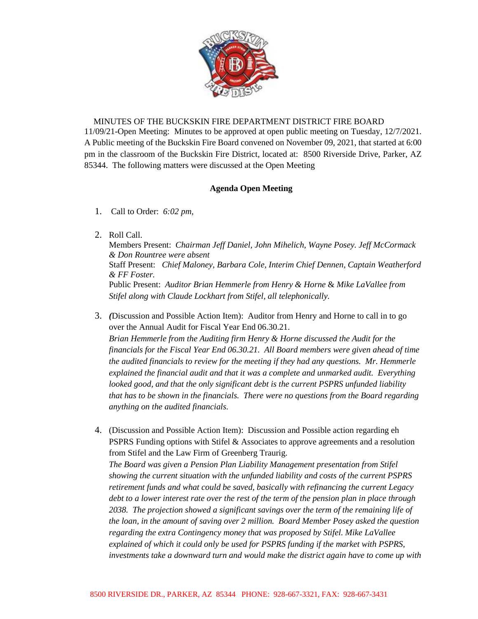

## MINUTES OF THE BUCKSKIN FIRE DEPARTMENT DISTRICT FIRE BOARD

11/09/21-Open Meeting: Minutes to be approved at open public meeting on Tuesday, 12/7/2021. A Public meeting of the Buckskin Fire Board convened on November 09, 2021, that started at 6:00 pm in the classroom of the Buckskin Fire District, located at: 8500 Riverside Drive, Parker, AZ 85344. The following matters were discussed at the Open Meeting

## **Agenda Open Meeting**

- 1. Call to Order: *6:02 pm,*
- 2. Roll Call.

Members Present: *Chairman Jeff Daniel, John Mihelich, Wayne Posey. Jeff McCormack & Don Rountree were absent* Staff Present: *Chief Maloney, Barbara Cole, Interim Chief Dennen, Captain Weatherford & FF Foster.* Public Present: *Auditor Brian Hemmerle from Henry & Horne* & *Mike LaVallee from Stifel along with Claude Lockhart from Stifel, all telephonically.*

- 3. *(*Discussion and Possible Action Item): Auditor from Henry and Horne to call in to go over the Annual Audit for Fiscal Year End 06.30.21. *Brian Hemmerle from the Auditing firm Henry & Horne discussed the Audit for the financials for the Fiscal Year End 06.30.21. All Board members were given ahead of time the audited financials to review for the meeting if they had any questions. Mr. Hemmerle explained the financial audit and that it was a complete and unmarked audit. Everything looked good, and that the only significant debt is the current PSPRS unfunded liability that has to be shown in the financials. There were no questions from the Board regarding anything on the audited financials.*
- 4. (Discussion and Possible Action Item): Discussion and Possible action regarding eh PSPRS Funding options with Stifel & Associates to approve agreements and a resolution from Stifel and the Law Firm of Greenberg Traurig. *The Board was given a Pension Plan Liability Management presentation from Stifel showing the current situation with the unfunded liability and costs of the current PSPRS retirement funds and what could be saved, basically with refinancing the current Legacy debt to a lower interest rate over the rest of the term of the pension plan in place through 2038. The projection showed a significant savings over the term of the remaining life of the loan, in the amount of saving over 2 million. Board Member Posey asked the question regarding the extra Contingency money that was proposed by Stifel. Mike LaVallee explained of which it could only be used for PSPRS funding if the market with PSPRS, investments take a downward turn and would make the district again have to come up with*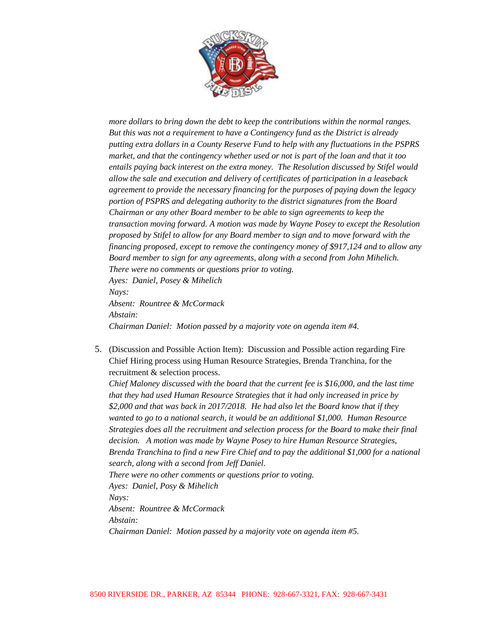

*more dollars to bring down the debt to keep the contributions within the normal ranges. But this was not a requirement to have a Contingency fund as the District is already putting extra dollars in a County Reserve Fund to help with any fluctuations in the PSPRS market, and that the contingency whether used or not is part of the loan and that it too entails paying back interest on the extra money. The Resolution discussed by Stifel would allow the sale and execution and delivery of certificates of participation in a leaseback agreement to provide the necessary financing for the purposes of paying down the legacy portion of PSPRS and delegating authority to the district signatures from the Board Chairman or any other Board member to be able to sign agreements to keep the transaction moving forward. A motion was made by Wayne Posey to except the Resolution proposed by Stifel to allow for any Board member to sign and to move forward with the financing proposed, except to remove the contingency money of \$917,124 and to allow any Board member to sign for any agreements, along with a second from John Mihelich. There were no comments or questions prior to voting. Ayes: Daniel, Posey & Mihelich Nays: Absent: Rountree & McCormack Abstain: Chairman Daniel: Motion passed by a majority vote on agenda item #4.*

5. (Discussion and Possible Action Item): Discussion and Possible action regarding Fire Chief Hiring process using Human Resource Strategies, Brenda Tranchina, for the recruitment & selection process.

*Chief Maloney discussed with the board that the current fee is \$16,000, and the last time that they had used Human Resource Strategies that it had only increased in price by \$2,000 and that was back in 2017/2018. He had also let the Board know that if they wanted to go to a national search, it would be an additional \$1,000. Human Resource Strategies does all the recruitment and selection process for the Board to make their final decision. A motion was made by Wayne Posey to hire Human Resource Strategies, Brenda Tranchina to find a new Fire Chief and to pay the additional \$1,000 for a national search, along with a second from Jeff Daniel. There were no other comments or questions prior to voting. Ayes: Daniel, Posy & Mihelich Nays:* 

*Absent: Rountree & McCormack*

*Abstain:*

*Chairman Daniel: Motion passed by a majority vote on agenda item #5.*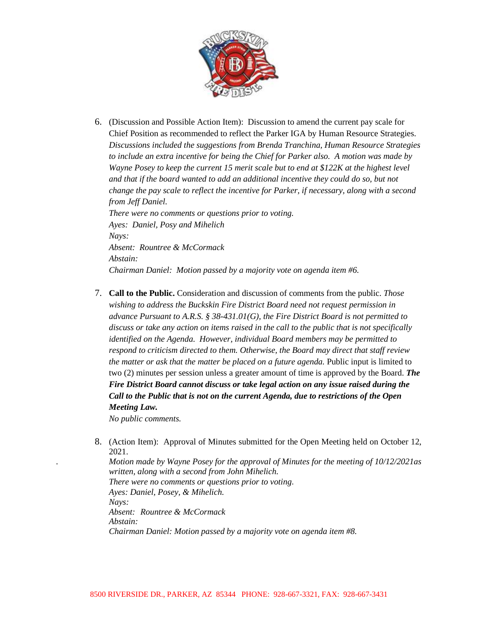

- 6. (Discussion and Possible Action Item): Discussion to amend the current pay scale for Chief Position as recommended to reflect the Parker IGA by Human Resource Strategies. *Discussions included the suggestions from Brenda Tranchina, Human Resource Strategies to include an extra incentive for being the Chief for Parker also. A motion was made by Wayne Posey to keep the current 15 merit scale but to end at \$122K at the highest level and that if the board wanted to add an additional incentive they could do so, but not change the pay scale to reflect the incentive for Parker, if necessary, along with a second from Jeff Daniel. There were no comments or questions prior to voting. Ayes: Daniel, Posy and Mihelich Nays: Absent: Rountree & McCormack Abstain:*
- 7. **Call to the Public.** Consideration and discussion of comments from the public. *Those wishing to address the Buckskin Fire District Board need not request permission in advance Pursuant to A.R.S. § 38-431.01(G), the Fire District Board is not permitted to discuss or take any action on items raised in the call to the public that is not specifically identified on the Agenda. However, individual Board members may be permitted to respond to criticism directed to them. Otherwise, the Board may direct that staff review the matter or ask that the matter be placed on a future agenda.* Public input is limited to two (2) minutes per session unless a greater amount of time is approved by the Board. *The Fire District Board cannot discuss or take legal action on any issue raised during the Call to the Public that is not on the current Agenda, due to restrictions of the Open Meeting Law.*

*Chairman Daniel: Motion passed by a majority vote on agenda item #6.*

*No public comments.*

8. (Action Item): Approval of Minutes submitted for the Open Meeting held on October 12, 2021. *. Motion made by Wayne Posey for the approval of Minutes for the meeting of 10/12/2021as written, along with a second from John Mihelich. There were no comments or questions prior to voting*. *Ayes: Daniel, Posey, & Mihelich. Nays: Absent: Rountree & McCormack Abstain: Chairman Daniel: Motion passed by a majority vote on agenda item #8.*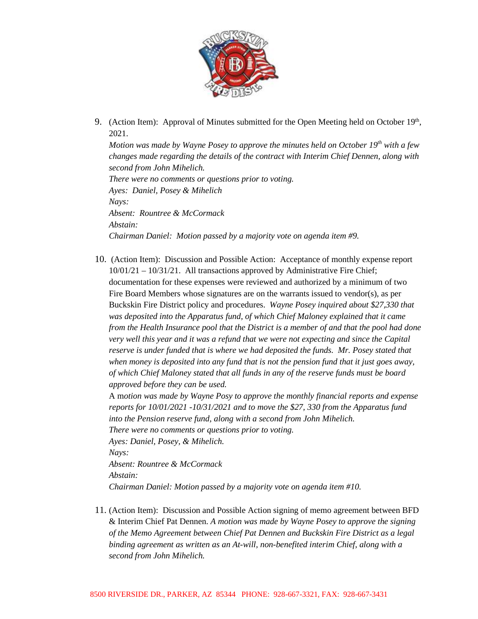

9. (Action Item): Approval of Minutes submitted for the Open Meeting held on October  $19<sup>th</sup>$ , 2021.

*Motion was made by Wayne Posey to approve the minutes held on October 19th with a few changes made regarding the details of the contract with Interim Chief Dennen, along with second from John Mihelich. There were no comments or questions prior to voting. Ayes: Daniel, Posey & Mihelich Nays: Absent: Rountree & McCormack Abstain: Chairman Daniel: Motion passed by a majority vote on agenda item #9.*

10. (Action Item): Discussion and Possible Action: Acceptance of monthly expense report 10/01/21 – 10/31/21. All transactions approved by Administrative Fire Chief; documentation for these expenses were reviewed and authorized by a minimum of two Fire Board Members whose signatures are on the warrants issued to vendor(s), as per Buckskin Fire District policy and procedures. *Wayne Posey inquired about \$27,330 that was deposited into the Apparatus fund, of which Chief Maloney explained that it came from the Health Insurance pool that the District is a member of and that the pool had done very well this year and it was a refund that we were not expecting and since the Capital reserve is under funded that is where we had deposited the funds. Mr. Posey stated that when money is deposited into any fund that is not the pension fund that it just goes away, of which Chief Maloney stated that all funds in any of the reserve funds must be board approved before they can be used.*

A m*otion was made by Wayne Posy to approve the monthly financial reports and expense reports for 10/01/2021 -10/31/2021 and to move the \$27, 330 from the Apparatus fund into the Pension reserve fund, along with a second from John Mihelich. There were no comments or questions prior to voting. Ayes: Daniel, Posey, & Mihelich. Nays:*

*Absent: Rountree & McCormack Abstain: Chairman Daniel: Motion passed by a majority vote on agenda item #10.*

11. (Action Item): Discussion and Possible Action signing of memo agreement between BFD & Interim Chief Pat Dennen. *A motion was made by Wayne Posey to approve the signing of the Memo Agreement between Chief Pat Dennen and Buckskin Fire District as a legal binding agreement as written as an At-will, non-benefited interim Chief, along with a second from John Mihelich.*